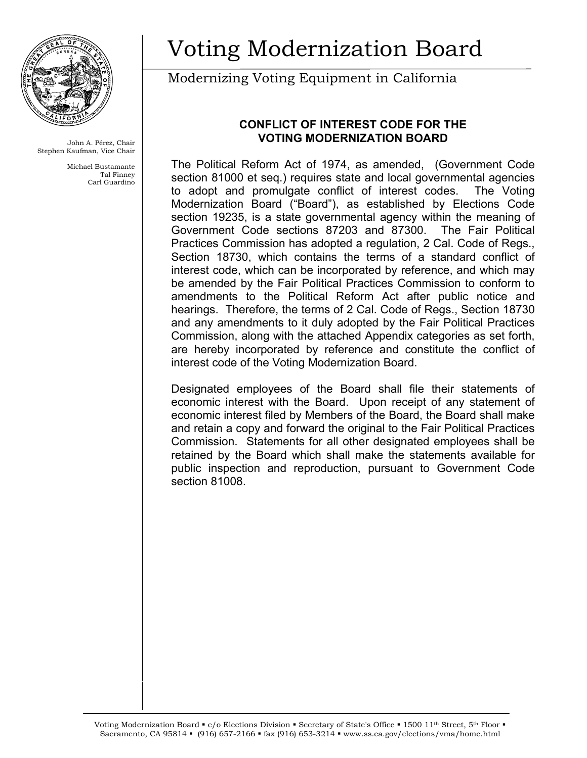

John A. Pérez, Chair Stephen Kaufman, Vice Chair

> Michael Bustamante Tal Finney Carl Guardino

# Voting Modernization Board

## Modernizing Voting Equipment in California

### **CONFLICT OF INTEREST CODE FOR THE VOTING MODERNIZATION BOARD**

The Political Reform Act of 1974, as amended, (Government Code section 81000 et seq.) requires state and local governmental agencies to adopt and promulgate conflict of interest codes. The Voting Modernization Board ("Board"), as established by Elections Code section 19235, is a state governmental agency within the meaning of Government Code sections 87203 and 87300. The Fair Political Practices Commission has adopted a regulation, 2 Cal. Code of Regs., Section 18730, which contains the terms of a standard conflict of interest code, which can be incorporated by reference, and which may be amended by the Fair Political Practices Commission to conform to amendments to the Political Reform Act after public notice and hearings. Therefore, the terms of 2 Cal. Code of Regs., Section 18730 and any amendments to it duly adopted by the Fair Political Practices Commission, along with the attached Appendix categories as set forth, are hereby incorporated by reference and constitute the conflict of interest code of the Voting Modernization Board.

Designated employees of the Board shall file their statements of economic interest with the Board. Upon receipt of any statement of economic interest filed by Members of the Board, the Board shall make and retain a copy and forward the original to the Fair Political Practices Commission. Statements for all other designated employees shall be retained by the Board which shall make the statements available for public inspection and reproduction, pursuant to Government Code section 81008.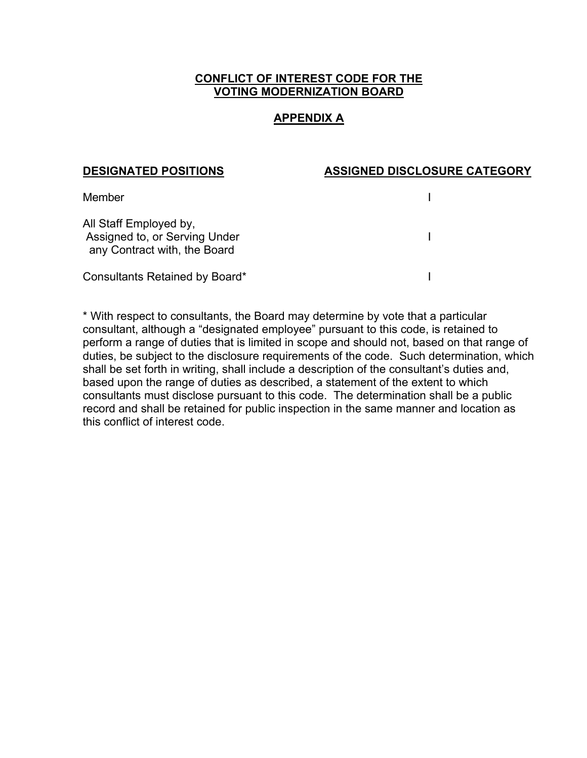#### **CONFLICT OF INTEREST CODE FOR THE VOTING MODERNIZATION BOARD**

#### **APPENDIX A**

#### **DESIGNATED POSITIONS ASSIGNED DISCLOSURE CATEGORY**

| Member                                                                                  |  |
|-----------------------------------------------------------------------------------------|--|
| All Staff Employed by,<br>Assigned to, or Serving Under<br>any Contract with, the Board |  |
| Consultants Retained by Board*                                                          |  |

\* With respect to consultants, the Board may determine by vote that a particular consultant, although a "designated employee" pursuant to this code, is retained to perform a range of duties that is limited in scope and should not, based on that range of duties, be subject to the disclosure requirements of the code. Such determination, which shall be set forth in writing, shall include a description of the consultant's duties and, based upon the range of duties as described, a statement of the extent to which consultants must disclose pursuant to this code. The determination shall be a public record and shall be retained for public inspection in the same manner and location as this conflict of interest code.